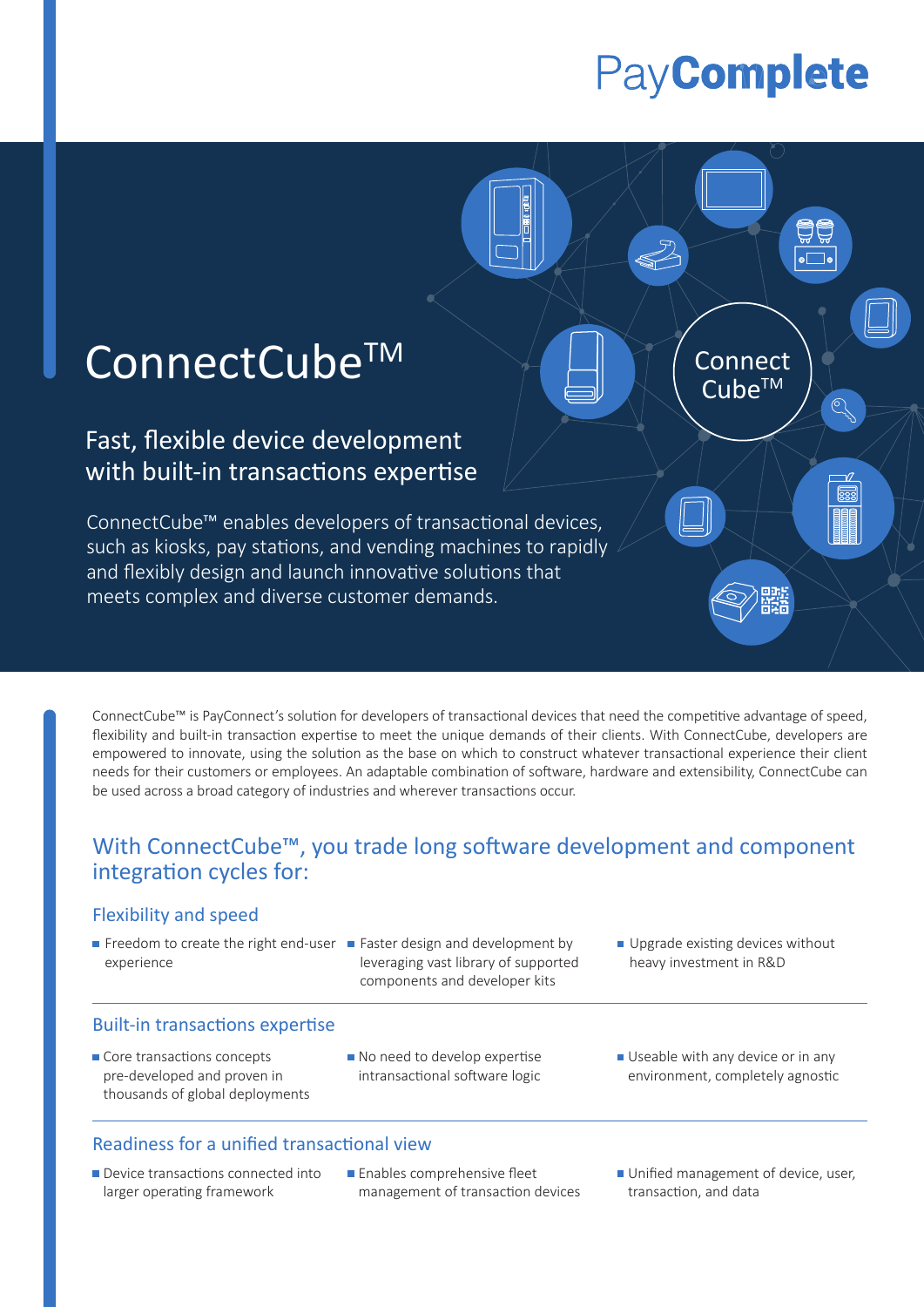# PayComplete

 $\overline{\mathsf{Cube}^{\mathsf{TM}}}$ 

# ConnectCube<sup>TM</sup> A A Connect

# Fast, flexible device development with built-in transactions expertise

ConnectCube™ enables developers of transactional devices, such as kiosks, pay stations, and vending machines to rapidly and flexibly design and launch innovative solutions that meets complex and diverse customer demands.

ConnectCube™ is PayConnect's solution for developers of transactional devices that need the competitive advantage of speed, flexibility and built-in transaction expertise to meet the unique demands of their clients. With ConnectCube, developers are empowered to innovate, using the solution as the base on which to construct whatever transactional experience their client needs for their customers or employees. An adaptable combination of software, hardware and extensibility, ConnectCube can be used across a broad category of industries and wherever transactions occur.

### With ConnectCube™, you trade long software development and component integration cycles for:

#### Flexibility and speed

- experience
- Freedom to create the right end-user **Faster design and development by** leveraging vast library of supported components and developer kits
- Upgrade existing devices without heavy investment in R&D

#### Built-in transactions expertise

- Core transactions concepts pre-developed and proven in thousands of global deployments
- No need to develop expertise intransactional software logic
- Useable with any device or in any environment, completely agnostic

#### Readiness for a unified transactional view

- Device transactions connected into larger operating framework
- **Enables comprehensive fleet** management of transaction devices
- Unified management of device, user, transaction, and data